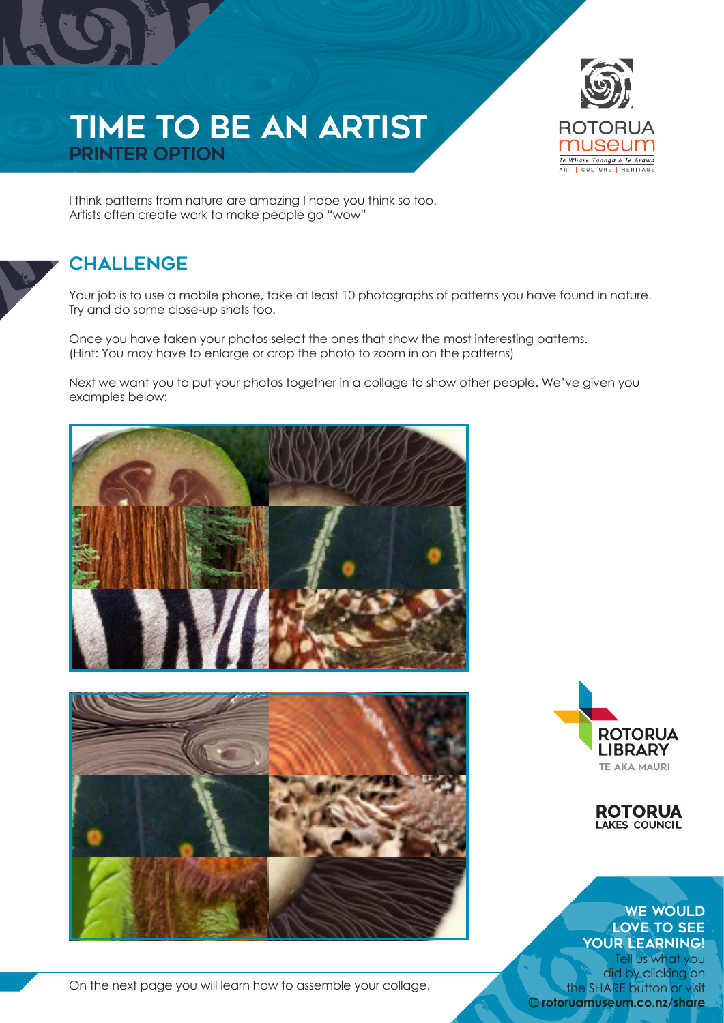



I think patterns from nature are amazing I hope you think so too. Artists often create work to make people go "wow"

## **CHALLENGE**

Your job is to use a mobile phone, take at least 10 photographs of patterns you have found in nature. Try and do some close-up shots too.

Once you have taken your photos select the ones that show the most interesting patterns. (Hint: You may have to enlarge or crop the photo to zoom in on the patterns)

Next we want you to put your photos together in a collage to show other people. We've given you examples below:



On the next page you will learn how to assemble your collage.



**ROTORUA**<br>LAKES COUNCIL

## WE WOULD LOVE TO SEE YOUR LEARNING!

Tell us what you did by clicking on the SHARE button or visit **rotoruamuseum.co.nz/share**